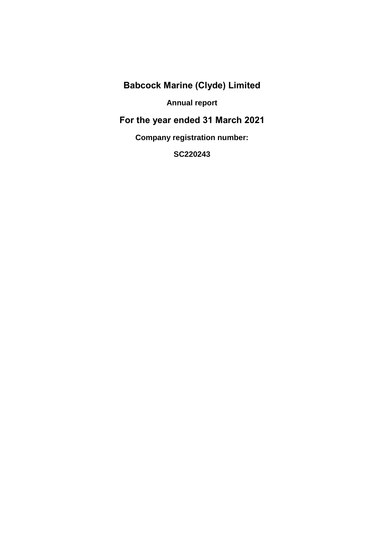**Annual report**

**For the year ended 31 March 2021**

**Company registration number:** 

**SC220243**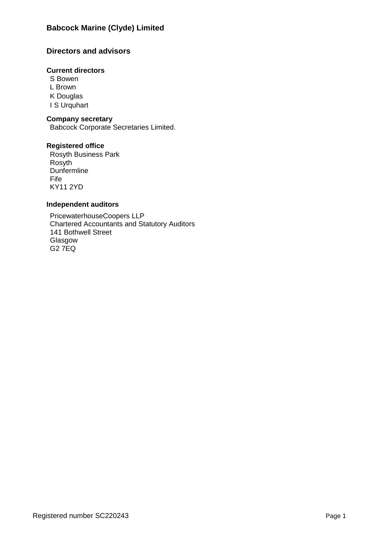# **Directors and advisors**

## **Current directors**

S Bowen L Brown K Douglas I S Urquhart

## **Company secretary**

Babcock Corporate Secretaries Limited.

## **Registered office**

Rosyth Business Park Rosyth **Dunfermline** Fife KY11 2YD

## **Independent auditors**

PricewaterhouseCoopers LLP Chartered Accountants and Statutory Auditors 141 Bothwell Street Glasgow G2 7EQ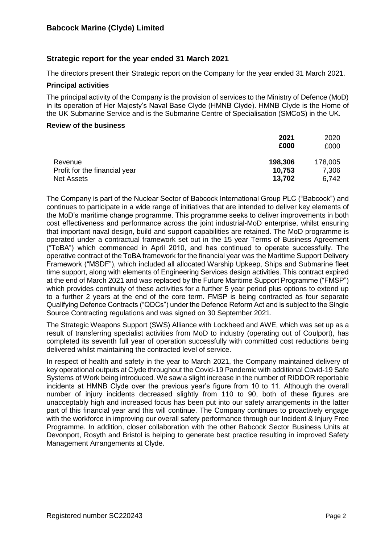# **Strategic report for the year ended 31 March 2021**

The directors present their Strategic report on the Company for the year ended 31 March 2021.

## **Principal activities**

The principal activity of the Company is the provision of services to the Ministry of Defence (MoD) in its operation of Her Majesty's Naval Base Clyde (HMNB Clyde). HMNB Clyde is the Home of the UK Submarine Service and is the Submarine Centre of Specialisation (SMCoS) in the UK.

#### **Review of the business**

|                               | 2021<br>£000 | 2020<br>£000 |
|-------------------------------|--------------|--------------|
| Revenue                       | 198,306      | 178,005      |
| Profit for the financial year | 10,753       | 7,306        |
| <b>Net Assets</b>             | 13,702       | 6,742        |

The Company is part of the Nuclear Sector of Babcock International Group PLC ("Babcock") and continues to participate in a wide range of initiatives that are intended to deliver key elements of the MoD's maritime change programme. This programme seeks to deliver improvements in both cost effectiveness and performance across the joint industrial-MoD enterprise, whilst ensuring that important naval design, build and support capabilities are retained. The MoD programme is operated under a contractual framework set out in the 15 year Terms of Business Agreement ("ToBA") which commenced in April 2010, and has continued to operate successfully. The operative contract of the ToBA framework for the financial year was the Maritime Support Delivery Framework ("MSDF"), which included all allocated Warship Upkeep, Ships and Submarine fleet time support, along with elements of Engineering Services design activities. This contract expired at the end of March 2021 and was replaced by the Future Maritime Support Programme ("FMSP") which provides continuity of these activities for a further 5 year period plus options to extend up to a further 2 years at the end of the core term. FMSP is being contracted as four separate Qualifying Defence Contracts ("QDCs") under the Defence Reform Act and is subject to the Single Source Contracting regulations and was signed on 30 September 2021.

The Strategic Weapons Support (SWS) Alliance with Lockheed and AWE, which was set up as a result of transferring specialist activities from MoD to industry (operating out of Coulport), has completed its seventh full year of operation successfully with committed cost reductions being delivered whilst maintaining the contracted level of service.

In respect of health and safety in the year to March 2021, the Company maintained delivery of key operational outputs at Clyde throughout the Covid-19 Pandemic with additional Covid-19 Safe Systems of Work being introduced. We saw a slight increase in the number of RIDDOR reportable incidents at HMNB Clyde over the previous year's figure from 10 to 11. Although the overall number of injury incidents decreased slightly from 110 to 90, both of these figures are unacceptably high and increased focus has been put into our safety arrangements in the latter part of this financial year and this will continue. The Company continues to proactively engage with the workforce in improving our overall safety performance through our Incident & Injury Free Programme. In addition, closer collaboration with the other Babcock Sector Business Units at Devonport, Rosyth and Bristol is helping to generate best practice resulting in improved Safety Management Arrangements at Clyde.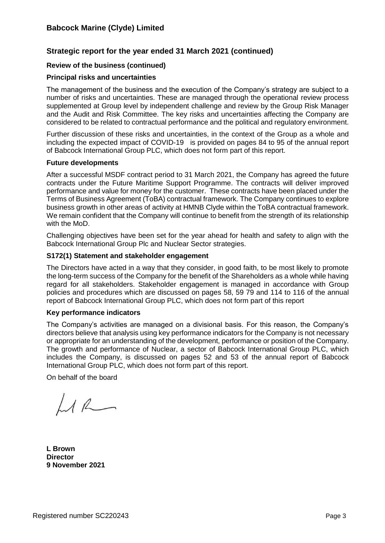# **Strategic report for the year ended 31 March 2021 (continued)**

## **Review of the business (continued)**

### **Principal risks and uncertainties**

The management of the business and the execution of the Company's strategy are subject to a number of risks and uncertainties. These are managed through the operational review process supplemented at Group level by independent challenge and review by the Group Risk Manager and the Audit and Risk Committee. The key risks and uncertainties affecting the Company are considered to be related to contractual performance and the political and regulatory environment.

Further discussion of these risks and uncertainties, in the context of the Group as a whole and including the expected impact of COVID-19 is provided on pages 84 to 95 of the annual report of Babcock International Group PLC, which does not form part of this report.

#### **Future developments**

After a successful MSDF contract period to 31 March 2021, the Company has agreed the future contracts under the Future Maritime Support Programme. The contracts will deliver improved performance and value for money for the customer. These contracts have been placed under the Terms of Business Agreement (ToBA) contractual framework. The Company continues to explore business growth in other areas of activity at HMNB Clyde within the ToBA contractual framework. We remain confident that the Company will continue to benefit from the strength of its relationship with the MoD.

Challenging objectives have been set for the year ahead for health and safety to align with the Babcock International Group Plc and Nuclear Sector strategies.

#### **S172(1) Statement and stakeholder engagement**

The Directors have acted in a way that they consider, in good faith, to be most likely to promote the long-term success of the Company for the benefit of the Shareholders as a whole while having regard for all stakeholders. Stakeholder engagement is managed in accordance with Group policies and procedures which are discussed on pages 58, 59 79 and 114 to 116 of the annual report of Babcock International Group PLC, which does not form part of this report

#### **Key performance indicators**

The Company's activities are managed on a divisional basis. For this reason, the Company's directors believe that analysis using key performance indicators for the Company is not necessary or appropriate for an understanding of the development, performance or position of the Company. The growth and performance of Nuclear, a sector of Babcock International Group PLC, which includes the Company, is discussed on pages 52 and 53 of the annual report of Babcock International Group PLC, which does not form part of this report.

On behalf of the board

 $LL$ 

**L Brown Director 9 November 2021**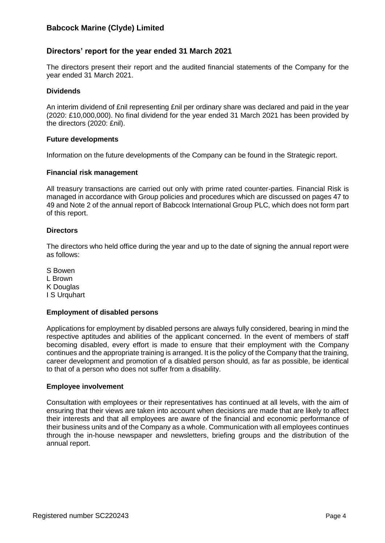## **Directors' report for the year ended 31 March 2021**

The directors present their report and the audited financial statements of the Company for the year ended 31 March 2021.

#### **Dividends**

An interim dividend of £nil representing £nil per ordinary share was declared and paid in the year (2020: £10,000,000). No final dividend for the year ended 31 March 2021 has been provided by the directors (2020: £nil).

#### **Future developments**

Information on the future developments of the Company can be found in the Strategic report.

#### **Financial risk management**

All treasury transactions are carried out only with prime rated counter-parties. Financial Risk is managed in accordance with Group policies and procedures which are discussed on pages 47 to 49 and Note 2 of the annual report of Babcock International Group PLC, which does not form part of this report.

## **Directors**

The directors who held office during the year and up to the date of signing the annual report were as follows:

S Bowen L Brown K Douglas I S Urquhart

#### **Employment of disabled persons**

Applications for employment by disabled persons are always fully considered, bearing in mind the respective aptitudes and abilities of the applicant concerned. In the event of members of staff becoming disabled, every effort is made to ensure that their employment with the Company continues and the appropriate training is arranged. It is the policy of the Company that the training, career development and promotion of a disabled person should, as far as possible, be identical to that of a person who does not suffer from a disability.

#### **Employee involvement**

Consultation with employees or their representatives has continued at all levels, with the aim of ensuring that their views are taken into account when decisions are made that are likely to affect their interests and that all employees are aware of the financial and economic performance of their business units and of the Company as a whole. Communication with all employees continues through the in-house newspaper and newsletters, briefing groups and the distribution of the annual report.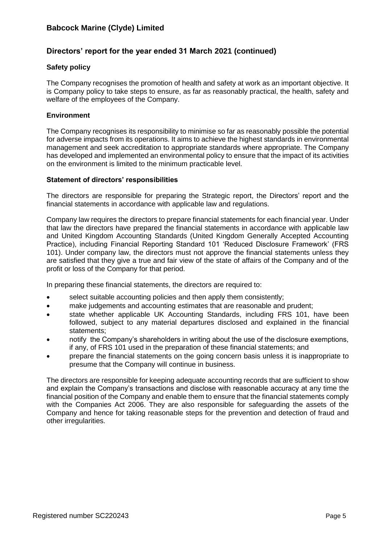# **Directors' report for the year ended 31 March 2021 (continued)**

## **Safety policy**

The Company recognises the promotion of health and safety at work as an important objective. It is Company policy to take steps to ensure, as far as reasonably practical, the health, safety and welfare of the employees of the Company.

### **Environment**

The Company recognises its responsibility to minimise so far as reasonably possible the potential for adverse impacts from its operations. It aims to achieve the highest standards in environmental management and seek accreditation to appropriate standards where appropriate. The Company has developed and implemented an environmental policy to ensure that the impact of its activities on the environment is limited to the minimum practicable level.

#### **Statement of directors' responsibilities**

The directors are responsible for preparing the Strategic report, the Directors' report and the financial statements in accordance with applicable law and regulations.

Company law requires the directors to prepare financial statements for each financial year. Under that law the directors have prepared the financial statements in accordance with applicable law and United Kingdom Accounting Standards (United Kingdom Generally Accepted Accounting Practice), including Financial Reporting Standard 101 'Reduced Disclosure Framework' (FRS 101). Under company law, the directors must not approve the financial statements unless they are satisfied that they give a true and fair view of the state of affairs of the Company and of the profit or loss of the Company for that period.

In preparing these financial statements, the directors are required to:

- select suitable accounting policies and then apply them consistently;
- make judgements and accounting estimates that are reasonable and prudent;
- state whether applicable UK Accounting Standards, including FRS 101, have been followed, subject to any material departures disclosed and explained in the financial statements;
- notify the Company's shareholders in writing about the use of the disclosure exemptions, if any, of FRS 101 used in the preparation of these financial statements; and
- prepare the financial statements on the going concern basis unless it is inappropriate to presume that the Company will continue in business.

The directors are responsible for keeping adequate accounting records that are sufficient to show and explain the Company's transactions and disclose with reasonable accuracy at any time the financial position of the Company and enable them to ensure that the financial statements comply with the Companies Act 2006. They are also responsible for safeguarding the assets of the Company and hence for taking reasonable steps for the prevention and detection of fraud and other irregularities.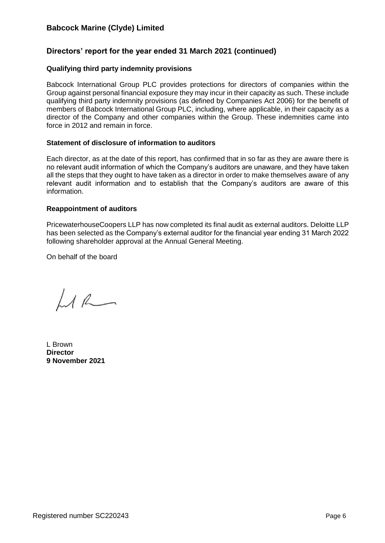# **Directors' report for the year ended 31 March 2021 (continued)**

## **Qualifying third party indemnity provisions**

Babcock International Group PLC provides protections for directors of companies within the Group against personal financial exposure they may incur in their capacity as such. These include qualifying third party indemnity provisions (as defined by Companies Act 2006) for the benefit of members of Babcock International Group PLC, including, where applicable, in their capacity as a director of the Company and other companies within the Group. These indemnities came into force in 2012 and remain in force.

#### **Statement of disclosure of information to auditors**

Each director, as at the date of this report, has confirmed that in so far as they are aware there is no relevant audit information of which the Company's auditors are unaware, and they have taken all the steps that they ought to have taken as a director in order to make themselves aware of any relevant audit information and to establish that the Company's auditors are aware of this information.

#### **Reappointment of auditors**

PricewaterhouseCoopers LLP has now completed its final audit as external auditors. Deloitte LLP has been selected as the Company's external auditor for the financial year ending 31 March 2022 following shareholder approval at the Annual General Meeting.

On behalf of the board

 $LL$ 

L Brown **Director 9 November 2021**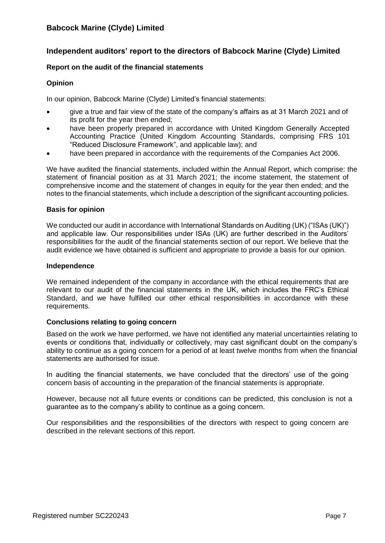## **Independent auditors' report to the directors of Babcock Marine (Clyde) Limited**

### **Report on the audit of the financial statements**

#### **Opinion**

In our opinion, Babcock Marine (Clyde) Limited's financial statements:

- give a true and fair view of the state of the company's affairs as at 31 March 2021 and of its profit for the year then ended;
- have been properly prepared in accordance with United Kingdom Generally Accepted Accounting Practice (United Kingdom Accounting Standards, comprising FRS 101 "Reduced Disclosure Framework", and applicable law); and
- have been prepared in accordance with the requirements of the Companies Act 2006.

We have audited the financial statements, included within the Annual Report, which comprise: the statement of financial position as at 31 March 2021; the income statement, the statement of comprehensive income and the statement of changes in equity for the year then ended; and the notes to the financial statements, which include a description of the significant accounting policies.

#### **Basis for opinion**

We conducted our audit in accordance with International Standards on Auditing (UK) ("ISAs (UK)") and applicable law. Our responsibilities under ISAs (UK) are further described in the Auditors' responsibilities for the audit of the financial statements section of our report. We believe that the audit evidence we have obtained is sufficient and appropriate to provide a basis for our opinion.

#### **Independence**

We remained independent of the company in accordance with the ethical requirements that are relevant to our audit of the financial statements in the UK, which includes the FRC's Ethical Standard, and we have fulfilled our other ethical responsibilities in accordance with these requirements.

#### **Conclusions relating to going concern**

Based on the work we have performed, we have not identified any material uncertainties relating to events or conditions that, individually or collectively, may cast significant doubt on the company's ability to continue as a going concern for a period of at least twelve months from when the financial statements are authorised for issue.

In auditing the financial statements, we have concluded that the directors' use of the going concern basis of accounting in the preparation of the financial statements is appropriate.

However, because not all future events or conditions can be predicted, this conclusion is not a guarantee as to the company's ability to continue as a going concern.

Our responsibilities and the responsibilities of the directors with respect to going concern are described in the relevant sections of this report.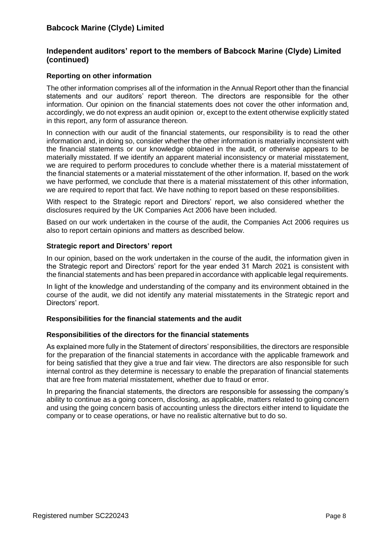## **Independent auditors' report to the members of Babcock Marine (Clyde) Limited (continued)**

## **Reporting on other information**

The other information comprises all of the information in the Annual Report other than the financial statements and our auditors' report thereon. The directors are responsible for the other information. Our opinion on the financial statements does not cover the other information and, accordingly, we do not express an audit opinion or, except to the extent otherwise explicitly stated in this report, any form of assurance thereon.

In connection with our audit of the financial statements, our responsibility is to read the other information and, in doing so, consider whether the other information is materially inconsistent with the financial statements or our knowledge obtained in the audit, or otherwise appears to be materially misstated. If we identify an apparent material inconsistency or material misstatement, we are required to perform procedures to conclude whether there is a material misstatement of the financial statements or a material misstatement of the other information. If, based on the work we have performed, we conclude that there is a material misstatement of this other information, we are required to report that fact. We have nothing to report based on these responsibilities.

With respect to the Strategic report and Directors' report, we also considered whether the disclosures required by the UK Companies Act 2006 have been included.

Based on our work undertaken in the course of the audit, the Companies Act 2006 requires us also to report certain opinions and matters as described below.

## **Strategic report and Directors' report**

In our opinion, based on the work undertaken in the course of the audit, the information given in the Strategic report and Directors' report for the year ended 31 March 2021 is consistent with the financial statements and has been prepared in accordance with applicable legal requirements.

In light of the knowledge and understanding of the company and its environment obtained in the course of the audit, we did not identify any material misstatements in the Strategic report and Directors' report.

## **Responsibilities for the financial statements and the audit**

#### **Responsibilities of the directors for the financial statements**

As explained more fully in the Statement of directors' responsibilities, the directors are responsible for the preparation of the financial statements in accordance with the applicable framework and for being satisfied that they give a true and fair view. The directors are also responsible for such internal control as they determine is necessary to enable the preparation of financial statements that are free from material misstatement, whether due to fraud or error.

In preparing the financial statements, the directors are responsible for assessing the company's ability to continue as a going concern, disclosing, as applicable, matters related to going concern and using the going concern basis of accounting unless the directors either intend to liquidate the company or to cease operations, or have no realistic alternative but to do so.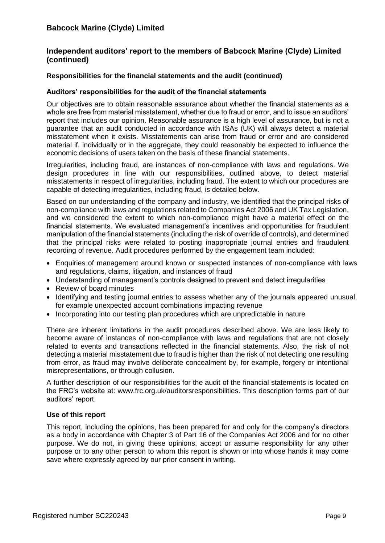## **Independent auditors' report to the members of Babcock Marine (Clyde) Limited (continued)**

## **Responsibilities for the financial statements and the audit (continued)**

## **Auditors' responsibilities for the audit of the financial statements**

Our objectives are to obtain reasonable assurance about whether the financial statements as a whole are free from material misstatement, whether due to fraud or error, and to issue an auditors' report that includes our opinion. Reasonable assurance is a high level of assurance, but is not a guarantee that an audit conducted in accordance with ISAs (UK) will always detect a material misstatement when it exists. Misstatements can arise from fraud or error and are considered material if, individually or in the aggregate, they could reasonably be expected to influence the economic decisions of users taken on the basis of these financial statements.

Irregularities, including fraud, are instances of non-compliance with laws and regulations. We design procedures in line with our responsibilities, outlined above, to detect material misstatements in respect of irregularities, including fraud. The extent to which our procedures are capable of detecting irregularities, including fraud, is detailed below.

Based on our understanding of the company and industry, we identified that the principal risks of non-compliance with laws and regulations related to Companies Act 2006 and UK Tax Legislation, and we considered the extent to which non-compliance might have a material effect on the financial statements. We evaluated management's incentives and opportunities for fraudulent manipulation of the financial statements (including the risk of override of controls), and determined that the principal risks were related to posting inappropriate journal entries and fraudulent recording of revenue. Audit procedures performed by the engagement team included:

- Enquiries of management around known or suspected instances of non-compliance with laws and regulations, claims, litigation, and instances of fraud
- Understanding of management's controls designed to prevent and detect irregularities
- Review of board minutes
- Identifying and testing journal entries to assess whether any of the journals appeared unusual, for example unexpected account combinations impacting revenue
- Incorporating into our testing plan procedures which are unpredictable in nature

There are inherent limitations in the audit procedures described above. We are less likely to become aware of instances of non-compliance with laws and regulations that are not closely related to events and transactions reflected in the financial statements. Also, the risk of not detecting a material misstatement due to fraud is higher than the risk of not detecting one resulting from error, as fraud may involve deliberate concealment by, for example, forgery or intentional misrepresentations, or through collusion.

A further description of our responsibilities for the audit of the financial statements is located on the FRC's website at: www.frc.org.uk/auditorsresponsibilities. This description forms part of our auditors' report.

## **Use of this report**

This report, including the opinions, has been prepared for and only for the company's directors as a body in accordance with Chapter 3 of Part 16 of the Companies Act 2006 and for no other purpose. We do not, in giving these opinions, accept or assume responsibility for any other purpose or to any other person to whom this report is shown or into whose hands it may come save where expressly agreed by our prior consent in writing.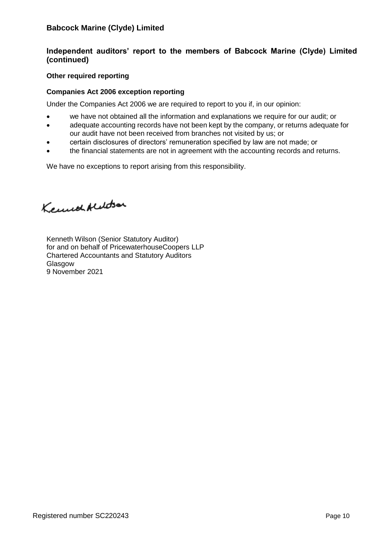# **Independent auditors' report to the members of Babcock Marine (Clyde) Limited (continued)**

## **Other required reporting**

## **Companies Act 2006 exception reporting**

Under the Companies Act 2006 we are required to report to you if, in our opinion:

- we have not obtained all the information and explanations we require for our audit; or
- adequate accounting records have not been kept by the company, or returns adequate for our audit have not been received from branches not visited by us; or
- certain disclosures of directors' remuneration specified by law are not made; or
- the financial statements are not in agreement with the accounting records and returns.

We have no exceptions to report arising from this responsibility.

Kennet Aledson

Kenneth Wilson (Senior Statutory Auditor) for and on behalf of PricewaterhouseCoopers LLP Chartered Accountants and Statutory Auditors Glasgow 9 November 2021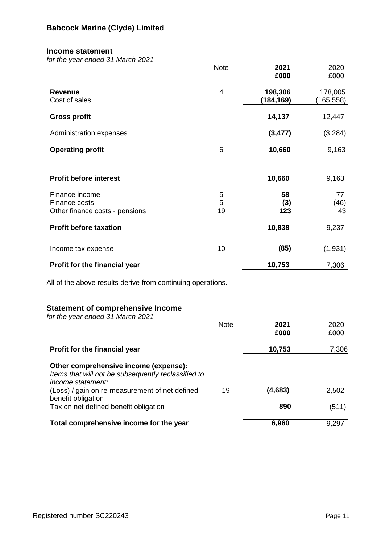### **Income statement**

*for the year ended 31 March 2021*

|                                                                                                                   | <b>Note</b>    | 2021<br>£000         | 2020<br>£000          |
|-------------------------------------------------------------------------------------------------------------------|----------------|----------------------|-----------------------|
| <b>Revenue</b><br>Cost of sales                                                                                   | $\overline{4}$ | 198,306<br>(184,169) | 178,005<br>(165, 558) |
| <b>Gross profit</b>                                                                                               |                | 14,137               | 12,447                |
| Administration expenses                                                                                           |                | (3, 477)             | (3,284)               |
| <b>Operating profit</b>                                                                                           | $\,6$          | 10,660               | 9,163                 |
| <b>Profit before interest</b>                                                                                     |                | 10,660               | 9,163                 |
| Finance income<br>Finance costs<br>Other finance costs - pensions                                                 | 5<br>5<br>19   | 58<br>(3)<br>123     | 77<br>(46)<br>43      |
| <b>Profit before taxation</b>                                                                                     |                | 10,838               | 9,237                 |
| Income tax expense                                                                                                | 10             | (85)                 | (1,931)               |
| Profit for the financial year                                                                                     |                | 10,753               | 7,306                 |
| All of the above results derive from continuing operations.                                                       |                |                      |                       |
| <b>Statement of comprehensive Income</b><br>for the year ended 31 March 2021                                      | <b>Note</b>    | 2021                 | 2020                  |
|                                                                                                                   |                | £000                 | £000                  |
| Profit for the financial year                                                                                     |                | 10,753               | 7,306                 |
| Other comprehensive income (expense):<br>Items that will not be subsequently reclassified to<br>income statement: |                |                      |                       |
| (Loss) / gain on re-measurement of net defined<br>benefit obligation                                              | 19             | (4,683)              | 2,502                 |
| Tax on net defined benefit obligation                                                                             |                | 890                  | (511)                 |
| Total comprehensive income for the year                                                                           |                | 6,960                | 9,297                 |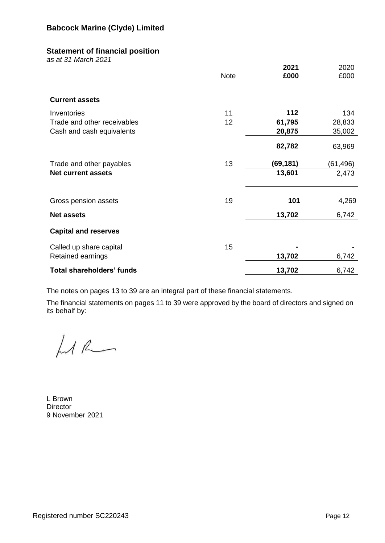## **Statement of financial position**

*as at 31 March 2021*

|                                  | <b>Note</b> | 2021<br>£000 | 2020<br>£000 |
|----------------------------------|-------------|--------------|--------------|
| <b>Current assets</b>            |             |              |              |
| Inventories                      | 11          | 112          | 134          |
| Trade and other receivables      | 12          | 61,795       | 28,833       |
| Cash and cash equivalents        |             | 20,875       | 35,002       |
|                                  |             | 82,782       | 63,969       |
| Trade and other payables         | 13          | (69, 181)    | (61,496)     |
| <b>Net current assets</b>        |             | 13,601       | 2,473        |
| Gross pension assets             | 19          | 101          | 4,269        |
| <b>Net assets</b>                |             | 13,702       | 6,742        |
| <b>Capital and reserves</b>      |             |              |              |
| Called up share capital          | 15          |              |              |
| Retained earnings                |             | 13,702       | 6,742        |
| <b>Total shareholders' funds</b> |             | 13,702       | 6,742        |

The notes on pages 13 to 39 are an integral part of these financial statements.

The financial statements on pages 11 to 39 were approved by the board of directors and signed on its behalf by:

LAR

L Brown **Director** 9 November 2021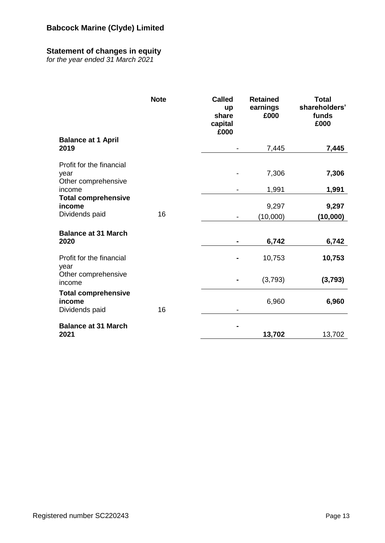# **Statement of changes in equity**

*for the year ended 31 March 2021*

|                                                         | <b>Note</b> | <b>Called</b><br>up<br>share<br>capital<br>£000 | <b>Retained</b><br>earnings<br>£000 | <b>Total</b><br>shareholders'<br>funds<br>£000 |
|---------------------------------------------------------|-------------|-------------------------------------------------|-------------------------------------|------------------------------------------------|
| <b>Balance at 1 April</b><br>2019                       |             |                                                 | 7,445                               | 7,445                                          |
| Profit for the financial<br>year<br>Other comprehensive |             |                                                 | 7,306                               | 7,306                                          |
| income                                                  |             |                                                 | 1,991                               | 1,991                                          |
| <b>Total comprehensive</b><br>income<br>Dividends paid  | 16          |                                                 | 9,297<br>(10,000)                   | 9,297<br>(10,000)                              |
| <b>Balance at 31 March</b><br>2020                      |             | $\blacksquare$                                  | 6,742                               | 6,742                                          |
| Profit for the financial<br>year                        |             |                                                 | 10,753                              | 10,753                                         |
| Other comprehensive<br>income                           |             |                                                 | (3,793)                             | (3,793)                                        |
| <b>Total comprehensive</b><br>income<br>Dividends paid  | 16          |                                                 | 6,960                               | 6,960                                          |
| <b>Balance at 31 March</b><br>2021                      |             |                                                 | 13,702                              | 13,702                                         |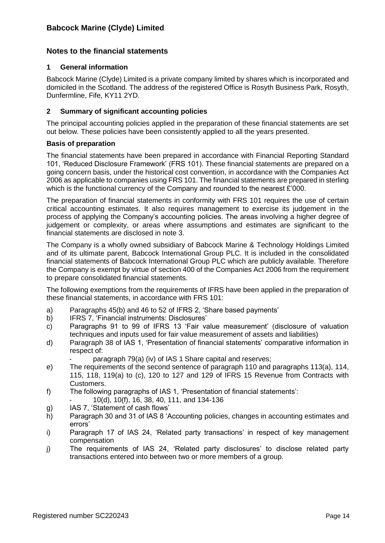## **Notes to the financial statements**

### **1 General information**

Babcock Marine (Clyde) Limited is a private company limited by shares which is incorporated and domiciled in the Scotland. The address of the registered Office is Rosyth Business Park, Rosyth, Dunfermline, Fife, KY11 2YD.

## **2 Summary of significant accounting policies**

The principal accounting policies applied in the preparation of these financial statements are set out below. These policies have been consistently applied to all the years presented.

## **Basis of preparation**

The financial statements have been prepared in accordance with Financial Reporting Standard 101, 'Reduced Disclosure Framework' (FRS 101). These financial statements are prepared on a going concern basis, under the historical cost convention, in accordance with the Companies Act 2006 as applicable to companies using FRS 101. The financial statements are prepared in sterling which is the functional currency of the Company and rounded to the nearest £'000.

The preparation of financial statements in conformity with FRS 101 requires the use of certain critical accounting estimates. It also requires management to exercise its judgement in the process of applying the Company's accounting policies. The areas involving a higher degree of judgement or complexity, or areas where assumptions and estimates are significant to the financial statements are disclosed in note 3.

The Company is a wholly owned subsidiary of Babcock Marine & Technology Holdings Limited and of its ultimate parent, Babcock International Group PLC. It is included in the consolidated financial statements of Babcock International Group PLC which are publicly available. Therefore the Company is exempt by virtue of section 400 of the Companies Act 2006 from the requirement to prepare consolidated financial statements*.*

The following exemptions from the requirements of IFRS have been applied in the preparation of these financial statements, in accordance with FRS 101:

- a) Paragraphs 45(b) and 46 to 52 of IFRS 2, 'Share based payments'
- b) IFRS 7, 'Financial instruments: Disclosures'
- c) Paragraphs 91 to 99 of IFRS 13 'Fair value measurement' (disclosure of valuation techniques and inputs used for fair value measurement of assets and liabilities)
- d) Paragraph 38 of IAS 1, 'Presentation of financial statements' comparative information in respect of:
	- paragraph 79(a) (iv) of IAS 1 Share capital and reserves;
- e) The requirements of the second sentence of paragraph 110 and paragraphs 113(a), 114, 115, 118, 119(a) to (c), 120 to 127 and 129 of IFRS 15 Revenue from Contracts with Customers.
- f) The following paragraphs of IAS 1, 'Presentation of financial statements': - 10(d), 10(f), 16, 38, 40, 111, and 134-136
	-
- g) IAS 7, 'Statement of cash flows'
- h) Paragraph 30 and 31 of IAS 8 'Accounting policies, changes in accounting estimates and errors'
- i) Paragraph 17 of IAS 24, 'Related party transactions' in respect of key management compensation
- j) The requirements of IAS 24, 'Related party disclosures' to disclose related party transactions entered into between two or more members of a group.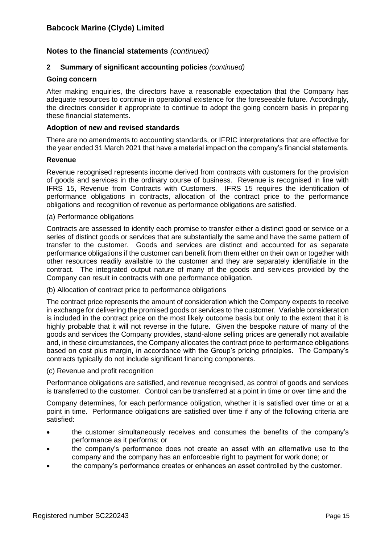## **2 Summary of significant accounting policies** *(continued)*

### **Going concern**

After making enquiries, the directors have a reasonable expectation that the Company has adequate resources to continue in operational existence for the foreseeable future. Accordingly, the directors consider it appropriate to continue to adopt the going concern basis in preparing these financial statements.

#### **Adoption of new and revised standards**

There are no amendments to accounting standards, or IFRIC interpretations that are effective for the year ended 31 March 2021 that have a material impact on the company's financial statements.

#### **Revenue**

Revenue recognised represents income derived from contracts with customers for the provision of goods and services in the ordinary course of business. Revenue is recognised in line with IFRS 15, Revenue from Contracts with Customers. IFRS 15 requires the identification of performance obligations in contracts, allocation of the contract price to the performance obligations and recognition of revenue as performance obligations are satisfied.

#### (a) Performance obligations

Contracts are assessed to identify each promise to transfer either a distinct good or service or a series of distinct goods or services that are substantially the same and have the same pattern of transfer to the customer. Goods and services are distinct and accounted for as separate performance obligations if the customer can benefit from them either on their own or together with other resources readily available to the customer and they are separately identifiable in the contract. The integrated output nature of many of the goods and services provided by the Company can result in contracts with one performance obligation.

(b) Allocation of contract price to performance obligations

The contract price represents the amount of consideration which the Company expects to receive in exchange for delivering the promised goods or services to the customer. Variable consideration is included in the contract price on the most likely outcome basis but only to the extent that it is highly probable that it will not reverse in the future. Given the bespoke nature of many of the goods and services the Company provides, stand-alone selling prices are generally not available and, in these circumstances, the Company allocates the contract price to performance obligations based on cost plus margin, in accordance with the Group's pricing principles. The Company's contracts typically do not include significant financing components.

#### (c) Revenue and profit recognition

Performance obligations are satisfied, and revenue recognised, as control of goods and services is transferred to the customer. Control can be transferred at a point in time or over time and the

Company determines, for each performance obligation, whether it is satisfied over time or at a point in time. Performance obligations are satisfied over time if any of the following criteria are satisfied:

- the customer simultaneously receives and consumes the benefits of the company's performance as it performs; or
- the company's performance does not create an asset with an alternative use to the company and the company has an enforceable right to payment for work done; or
- the company's performance creates or enhances an asset controlled by the customer.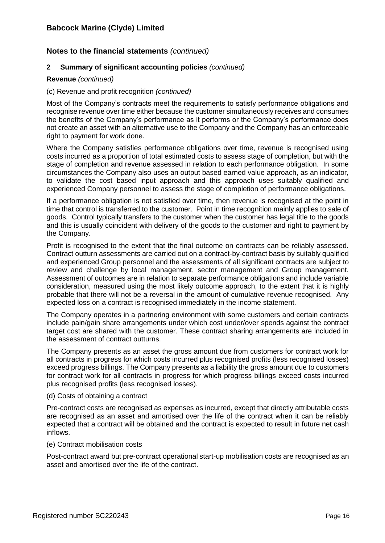## **2 Summary of significant accounting policies** *(continued)*

## **Revenue** *(continued)*

## (c) Revenue and profit recognition *(continued)*

Most of the Company's contracts meet the requirements to satisfy performance obligations and recognise revenue over time either because the customer simultaneously receives and consumes the benefits of the Company's performance as it performs or the Company's performance does not create an asset with an alternative use to the Company and the Company has an enforceable right to payment for work done.

Where the Company satisfies performance obligations over time, revenue is recognised using costs incurred as a proportion of total estimated costs to assess stage of completion, but with the stage of completion and revenue assessed in relation to each performance obligation. In some circumstances the Company also uses an output based earned value approach, as an indicator, to validate the cost based input approach and this approach uses suitably qualified and experienced Company personnel to assess the stage of completion of performance obligations.

If a performance obligation is not satisfied over time, then revenue is recognised at the point in time that control is transferred to the customer. Point in time recognition mainly applies to sale of goods. Control typically transfers to the customer when the customer has legal title to the goods and this is usually coincident with delivery of the goods to the customer and right to payment by the Company.

Profit is recognised to the extent that the final outcome on contracts can be reliably assessed. Contract outturn assessments are carried out on a contract-by-contract basis by suitably qualified and experienced Group personnel and the assessments of all significant contracts are subject to review and challenge by local management, sector management and Group management. Assessment of outcomes are in relation to separate performance obligations and include variable consideration, measured using the most likely outcome approach, to the extent that it is highly probable that there will not be a reversal in the amount of cumulative revenue recognised. Any expected loss on a contract is recognised immediately in the income statement.

The Company operates in a partnering environment with some customers and certain contracts include pain/gain share arrangements under which cost under/over spends against the contract target cost are shared with the customer. These contract sharing arrangements are included in the assessment of contract outturns.

The Company presents as an asset the gross amount due from customers for contract work for all contracts in progress for which costs incurred plus recognised profits (less recognised losses) exceed progress billings. The Company presents as a liability the gross amount due to customers for contract work for all contracts in progress for which progress billings exceed costs incurred plus recognised profits (less recognised losses).

#### (d) Costs of obtaining a contract

Pre-contract costs are recognised as expenses as incurred, except that directly attributable costs are recognised as an asset and amortised over the life of the contract when it can be reliably expected that a contract will be obtained and the contract is expected to result in future net cash inflows.

#### (e) Contract mobilisation costs

Post-contract award but pre-contract operational start-up mobilisation costs are recognised as an asset and amortised over the life of the contract.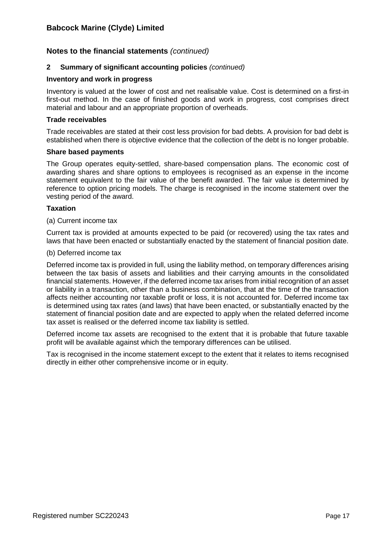## **2 Summary of significant accounting policies** *(continued)*

#### **Inventory and work in progress**

Inventory is valued at the lower of cost and net realisable value. Cost is determined on a first-in first-out method. In the case of finished goods and work in progress, cost comprises direct material and labour and an appropriate proportion of overheads.

#### **Trade receivables**

Trade receivables are stated at their cost less provision for bad debts. A provision for bad debt is established when there is objective evidence that the collection of the debt is no longer probable.

#### **Share based payments**

The Group operates equity-settled, share-based compensation plans. The economic cost of awarding shares and share options to employees is recognised as an expense in the income statement equivalent to the fair value of the benefit awarded. The fair value is determined by reference to option pricing models. The charge is recognised in the income statement over the vesting period of the award.

## **Taxation**

#### (a) Current income tax

Current tax is provided at amounts expected to be paid (or recovered) using the tax rates and laws that have been enacted or substantially enacted by the statement of financial position date.

#### (b) Deferred income tax

Deferred income tax is provided in full, using the liability method, on temporary differences arising between the tax basis of assets and liabilities and their carrying amounts in the consolidated financial statements. However, if the deferred income tax arises from initial recognition of an asset or liability in a transaction, other than a business combination, that at the time of the transaction affects neither accounting nor taxable profit or loss, it is not accounted for. Deferred income tax is determined using tax rates (and laws) that have been enacted, or substantially enacted by the statement of financial position date and are expected to apply when the related deferred income tax asset is realised or the deferred income tax liability is settled.

Deferred income tax assets are recognised to the extent that it is probable that future taxable profit will be available against which the temporary differences can be utilised.

Tax is recognised in the income statement except to the extent that it relates to items recognised directly in either other comprehensive income or in equity.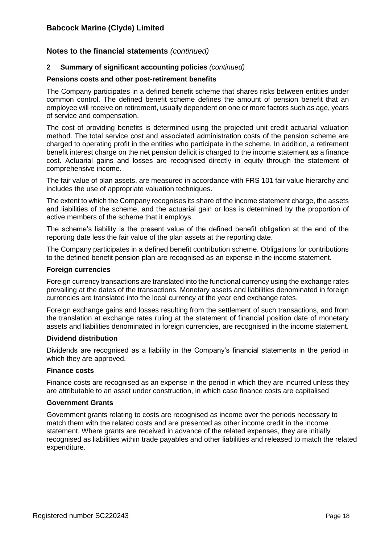## **2 Summary of significant accounting policies** *(continued)*

### **Pensions costs and other post-retirement benefits**

The Company participates in a defined benefit scheme that shares risks between entities under common control. The defined benefit scheme defines the amount of pension benefit that an employee will receive on retirement, usually dependent on one or more factors such as age, years of service and compensation.

The cost of providing benefits is determined using the projected unit credit actuarial valuation method. The total service cost and associated administration costs of the pension scheme are charged to operating profit in the entities who participate in the scheme. In addition, a retirement benefit interest charge on the net pension deficit is charged to the income statement as a finance cost. Actuarial gains and losses are recognised directly in equity through the statement of comprehensive income.

The fair value of plan assets, are measured in accordance with FRS 101 fair value hierarchy and includes the use of appropriate valuation techniques.

The extent to which the Company recognises its share of the income statement charge, the assets and liabilities of the scheme, and the actuarial gain or loss is determined by the proportion of active members of the scheme that it employs.

The scheme's liability is the present value of the defined benefit obligation at the end of the reporting date less the fair value of the plan assets at the reporting date.

The Company participates in a defined benefit contribution scheme. Obligations for contributions to the defined benefit pension plan are recognised as an expense in the income statement.

#### **Foreign currencies**

Foreign currency transactions are translated into the functional currency using the exchange rates prevailing at the dates of the transactions. Monetary assets and liabilities denominated in foreign currencies are translated into the local currency at the year end exchange rates.

Foreign exchange gains and losses resulting from the settlement of such transactions, and from the translation at exchange rates ruling at the statement of financial position date of monetary assets and liabilities denominated in foreign currencies, are recognised in the income statement.

#### **Dividend distribution**

Dividends are recognised as a liability in the Company's financial statements in the period in which they are approved.

#### **Finance costs**

Finance costs are recognised as an expense in the period in which they are incurred unless they are attributable to an asset under construction, in which case finance costs are capitalised

#### **Government Grants**

Government grants relating to costs are recognised as income over the periods necessary to match them with the related costs and are presented as other income credit in the income statement. Where grants are received in advance of the related expenses, they are initially recognised as liabilities within trade payables and other liabilities and released to match the related expenditure.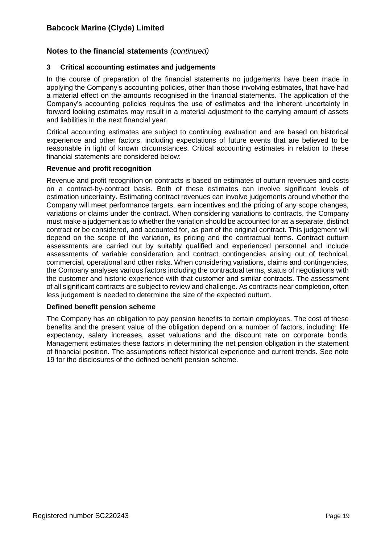## **3 Critical accounting estimates and judgements**

In the course of preparation of the financial statements no judgements have been made in applying the Company's accounting policies, other than those involving estimates, that have had a material effect on the amounts recognised in the financial statements. The application of the Company's accounting policies requires the use of estimates and the inherent uncertainty in forward looking estimates may result in a material adjustment to the carrying amount of assets and liabilities in the next financial year.

Critical accounting estimates are subject to continuing evaluation and are based on historical experience and other factors, including expectations of future events that are believed to be reasonable in light of known circumstances. Critical accounting estimates in relation to these financial statements are considered below:

#### **Revenue and profit recognition**

Revenue and profit recognition on contracts is based on estimates of outturn revenues and costs on a contract-by-contract basis. Both of these estimates can involve significant levels of estimation uncertainty. Estimating contract revenues can involve judgements around whether the Company will meet performance targets, earn incentives and the pricing of any scope changes, variations or claims under the contract. When considering variations to contracts, the Company must make a judgement as to whether the variation should be accounted for as a separate, distinct contract or be considered, and accounted for, as part of the original contract. This judgement will depend on the scope of the variation, its pricing and the contractual terms. Contract outturn assessments are carried out by suitably qualified and experienced personnel and include assessments of variable consideration and contract contingencies arising out of technical, commercial, operational and other risks. When considering variations, claims and contingencies, the Company analyses various factors including the contractual terms, status of negotiations with the customer and historic experience with that customer and similar contracts. The assessment of all significant contracts are subject to review and challenge. As contracts near completion, often less judgement is needed to determine the size of the expected outturn.

## **Defined benefit pension scheme**

The Company has an obligation to pay pension benefits to certain employees. The cost of these benefits and the present value of the obligation depend on a number of factors, including: life expectancy, salary increases, asset valuations and the discount rate on corporate bonds. Management estimates these factors in determining the net pension obligation in the statement of financial position. The assumptions reflect historical experience and current trends. See note 19 for the disclosures of the defined benefit pension scheme.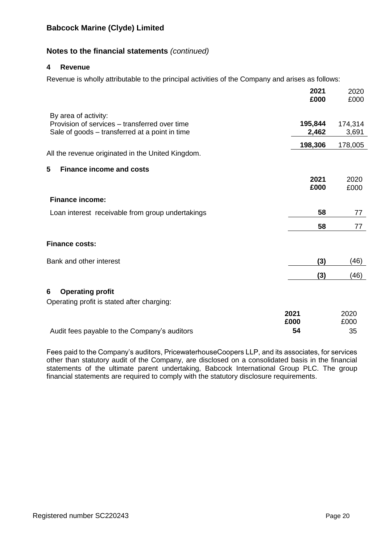# **Notes to the financial statements** *(continued)*

### **4 Revenue**

Revenue is wholly attributable to the principal activities of the Company and arises as follows:

|                                                                                                 | 2021<br>£000     | 2020<br>£000     |
|-------------------------------------------------------------------------------------------------|------------------|------------------|
| By area of activity:                                                                            |                  |                  |
| Provision of services – transferred over time<br>Sale of goods – transferred at a point in time | 195,844<br>2,462 | 174,314<br>3,691 |
|                                                                                                 | 198,306          | 178,005          |
| All the revenue originated in the United Kingdom.                                               |                  |                  |
| 5<br><b>Finance income and costs</b>                                                            |                  |                  |
|                                                                                                 | 2021<br>£000     | 2020<br>£000     |
| <b>Finance income:</b>                                                                          |                  |                  |
| Loan interest receivable from group undertakings                                                | 58               | 77               |
|                                                                                                 | 58               | 77               |
| <b>Finance costs:</b>                                                                           |                  |                  |
| Bank and other interest                                                                         | (3)              | (46)             |
|                                                                                                 | (3)              | (46)             |
| <b>Operating profit</b><br>6                                                                    |                  |                  |
| Operating profit is stated after charging:                                                      |                  |                  |
|                                                                                                 | 2021<br>£000     | 2020<br>£000     |
| Audit fees payable to the Company's auditors                                                    | 54               | 35               |

Fees paid to the Company's auditors, PricewaterhouseCoopers LLP, and its associates, for services other than statutory audit of the Company, are disclosed on a consolidated basis in the financial statements of the ultimate parent undertaking, Babcock International Group PLC. The group financial statements are required to comply with the statutory disclosure requirements.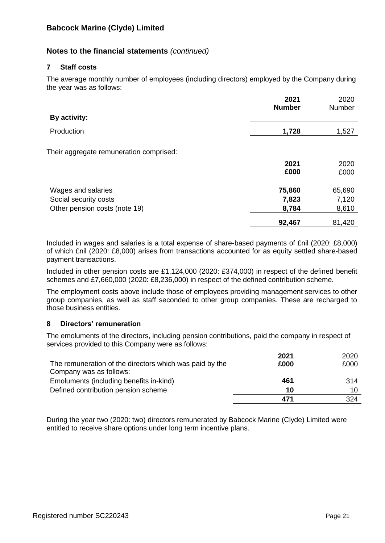# **Notes to the financial statements** *(continued)*

## **7 Staff costs**

The average monthly number of employees (including directors) employed by the Company during the year was as follows:

|                                         | 2021<br><b>Number</b> | 2020<br>Number |
|-----------------------------------------|-----------------------|----------------|
| By activity:                            |                       |                |
| Production                              | 1,728                 | 1,527          |
| Their aggregate remuneration comprised: |                       |                |
|                                         | 2021<br>£000          | 2020<br>£000   |
| Wages and salaries                      | 75,860                | 65,690         |
| Social security costs                   | 7,823                 | 7,120          |
| Other pension costs (note 19)           | 8,784                 | 8,610          |
|                                         | 92,467                | 81,420         |

Included in wages and salaries is a total expense of share-based payments of £nil (2020: £8,000) of which £nil (2020: £8,000) arises from transactions accounted for as equity settled share-based payment transactions.

Included in other pension costs are £1,124,000 (2020: £374,000) in respect of the defined benefit schemes and £7,660,000 (2020: £8,236,000) in respect of the defined contribution scheme.

The employment costs above include those of employees providing management services to other group companies, as well as staff seconded to other group companies. These are recharged to those business entities.

## **8 Directors' remuneration**

The emoluments of the directors, including pension contributions, paid the company in respect of services provided to this Company were as follows:

|                                                         | 2021 | 2020 |
|---------------------------------------------------------|------|------|
| The remuneration of the directors which was paid by the | £000 | £000 |
| Company was as follows:                                 |      |      |
| Emoluments (including benefits in-kind)                 | 461  | 314  |
| Defined contribution pension scheme                     | 10   | 10   |
|                                                         | 471  | 324  |

During the year two (2020: two) directors remunerated by Babcock Marine (Clyde) Limited were entitled to receive share options under long term incentive plans.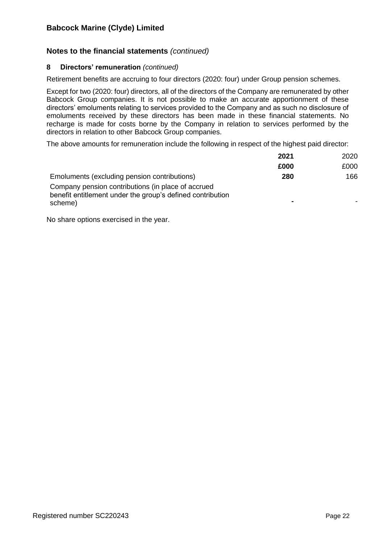# **Notes to the financial statements** *(continued)*

### **8 Directors' remuneration** *(continued)*

Retirement benefits are accruing to four directors (2020: four) under Group pension schemes.

Except for two (2020: four) directors, all of the directors of the Company are remunerated by other Babcock Group companies. It is not possible to make an accurate apportionment of these directors' emoluments relating to services provided to the Company and as such no disclosure of emoluments received by these directors has been made in these financial statements. No recharge is made for costs borne by the Company in relation to services performed by the directors in relation to other Babcock Group companies.

The above amounts for remuneration include the following in respect of the highest paid director:

|                                                                                                                             | 2021           | 2020 |
|-----------------------------------------------------------------------------------------------------------------------------|----------------|------|
|                                                                                                                             | £000           | £000 |
| Emoluments (excluding pension contributions)                                                                                | 280            | 166  |
| Company pension contributions (in place of accrued<br>benefit entitlement under the group's defined contribution<br>scheme) | $\blacksquare$ |      |

No share options exercised in the year.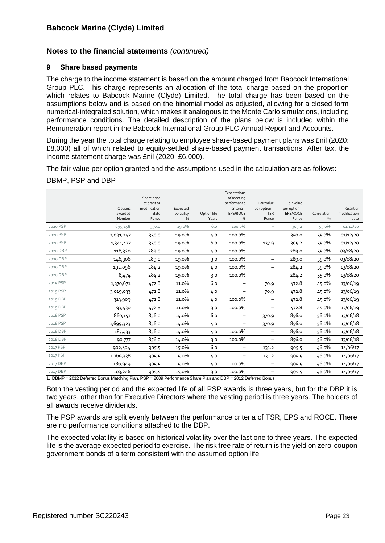### **9 Share based payments**

The charge to the income statement is based on the amount charged from Babcock International Group PLC. This charge represents an allocation of the total charge based on the proportion which relates to Babcock Marine (Clyde) Limited. The total charge has been based on the assumptions below and is based on the binomial model as adjusted, allowing for a closed form numerical-integrated solution, which makes it analogous to the Monte Carlo simulations, including performance conditions. The detailed description of the plans below is included within the Remuneration report in the Babcock International Group PLC Annual Report and Accounts.

During the year the total charge relating to employee share-based payment plans was £nil (2020: £8,000) all of which related to equity-settled share-based payment transactions. After tax, the income statement charge was £nil (2020: £6,000).

The fair value per option granted and the assumptions used in the calculation are as follows:

#### DBMP, PSP and DBP

|          | Options<br>awarded<br>Number | Share price<br>at grant or<br>modification<br>date<br>Pence | Expected<br>volatility<br>% | Option life<br>Years | Expectations<br>of meeting<br>performance<br>criteria-<br>EPS/ROCE<br>% | Fair value<br>per option-<br><b>TSR</b><br>Pence | Fair value<br>per option-<br>EPS/ROCE<br>Pence | Correlation<br>$\%$ | Grant or<br>modification<br>date |
|----------|------------------------------|-------------------------------------------------------------|-----------------------------|----------------------|-------------------------------------------------------------------------|--------------------------------------------------|------------------------------------------------|---------------------|----------------------------------|
| 2020 PSP | 695,458                      | 350.0                                                       | 19.0%                       | 6.0                  | 100.0%                                                                  | $\overline{\phantom{m}}$                         | 305.2                                          | 55.0%               | 01/12/20                         |
| 2020 PSP | 2,091,247                    | 350.0                                                       | 19.0%                       | 4.0                  | 100.0%                                                                  | $\qquad \qquad -$                                | 350.0                                          | 55.0%               | 01/12/20                         |
| 2020 PSP | 1,341,477                    | 350.0                                                       | 19.0%                       | 6.0                  | 100.0%                                                                  | 137.9                                            | 305.2                                          | 55.0%               | 01/12/20                         |
| 2020 DBP | 118,320                      | 289.0                                                       | 19.0%                       | 4.0                  | 100.0%                                                                  | $\qquad \qquad -$                                | 289.0                                          | 55.0%               | 03/08/20                         |
| 2020 DBP | 146,306                      | 289.0                                                       | 19.0%                       | 3.0                  | 100.0%                                                                  | $\overline{\phantom{m}}$                         | 289.0                                          | 55.0%               | 03/08/20                         |
| 2020 DBP | 192,096                      | 284.2                                                       | 19.0%                       | 4.0                  | 100.0%                                                                  | $\qquad \qquad -$                                | 284.2                                          | 55.0%               | 13/08/20                         |
| 2020 DBP | 8,474                        | 284.2                                                       | 19.0%                       | 3.0                  | 100.0%                                                                  | $\qquad \qquad -$                                | 284.2                                          | 55.0%               | 13/08/20                         |
| 2019 PSP | 1,370,671                    | 472.8                                                       | 11.0%                       | 6.0                  | -                                                                       | 70.9                                             | 472.8                                          | 45.0%               | 13/06/19                         |
| 2019 PSP | 3,019,033                    | 472.8                                                       | 11.0%                       | 4.0                  |                                                                         | 70.9                                             | 472.8                                          | 45.0%               | 13/06/19                         |
| 2019 DBP | 313,909                      | 472.8                                                       | 11.0%                       | 4.0                  | 100.0%                                                                  | $\qquad \qquad -$                                | 472.8                                          | 45.0%               | 13/06/19                         |
| 2019 DBP | 93,430                       | 472.8                                                       | 11.0%                       | 3.0                  | 100.0%                                                                  | $\qquad \qquad -$                                | 472.8                                          | 45.0%               | 13/06/19                         |
| 2018 PSP | 860,157                      | 856.0                                                       | 14.0%                       | 6.0                  |                                                                         | 370.9                                            | 856.0                                          | 56.0%               | 13/06/18                         |
| 2018 PSP | 1,699,323                    | 856.0                                                       | 14.0%                       | 4.0                  |                                                                         | 370.9                                            | 856.0                                          | 56.0%               | 13/06/18                         |
| 2018 DBP | 187,433                      | 856.0                                                       | 14.0%                       | 4.0                  | 100.0%                                                                  | $\overline{\phantom{m}}$                         | 856.0                                          | 56.0%               | 13/06/18                         |
| 2018 DBP | 90,777                       | 856.0                                                       | 14.0%                       | 3.0                  | 100.0%                                                                  | -                                                | 856.0                                          | 56.0%               | 13/06/18                         |
| 2017 PSP | 902,424                      | 905.5                                                       | 15.0%                       | 6.0                  | $\qquad \qquad -$                                                       | 131.2                                            | 905.5                                          | 46.0%               | 14/06/17                         |
| 2017 PSP | 1,769,338                    | 905.5                                                       | 15.0%                       | 4.0                  |                                                                         | 131.2                                            | 905.5                                          | 46.0%               | 14/06/17                         |
| 2017 DBP | 186,949                      | 905.5                                                       | 15.0%                       | 4.0                  | 100.0%                                                                  | $\qquad \qquad -$                                | 905.5                                          | 46.0%               | 14/06/17                         |
| 2017 DBP | 103,246                      | 905.5                                                       | 15.0%                       | 3.0                  | 100.0%                                                                  |                                                  | 905.5                                          | 46.0%               | 14/06/17                         |

1. DBMP = 2012 Deferred Bonus Matching Plan, PSP = 2009 Performance Share Plan and DBP = 2012 Deferred Bonus

Both the vesting period and the expected life of all PSP awards is three years, but for the DBP it is two years, other than for Executive Directors where the vesting period is three years. The holders of all awards receive dividends.

The PSP awards are split evenly between the performance criteria of TSR, EPS and ROCE. There are no performance conditions attached to the DBP.

The expected volatility is based on historical volatility over the last one to three years. The expected life is the average expected period to exercise. The risk free rate of return is the yield on zero-coupon government bonds of a term consistent with the assumed option life.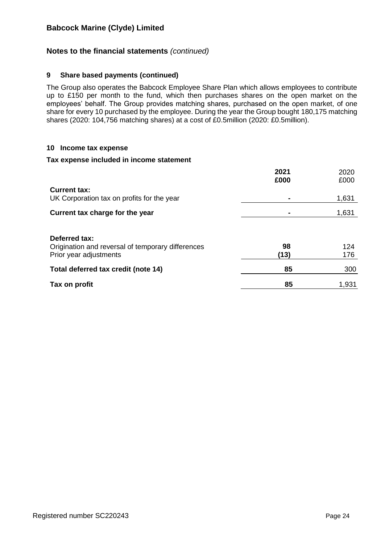## **Notes to the financial statements** *(continued)*

#### **9 Share based payments (continued)**

The Group also operates the Babcock Employee Share Plan which allows employees to contribute up to £150 per month to the fund, which then purchases shares on the open market on the employees' behalf. The Group provides matching shares, purchased on the open market, of one share for every 10 purchased by the employee. During the year the Group bought 180,175 matching shares (2020: 104,756 matching shares) at a cost of £0.5million (2020: £0.5million).

#### **10 Income tax expense**

#### **Tax expense included in income statement**

| <b>Current tax:</b>                                                                          | 2021<br>£000 | 2020<br>£000 |
|----------------------------------------------------------------------------------------------|--------------|--------------|
| UK Corporation tax on profits for the year                                                   |              | 1,631        |
| Current tax charge for the year                                                              |              | 1,631        |
| Deferred tax:<br>Origination and reversal of temporary differences<br>Prior year adjustments | 98<br>(13)   | 124<br>176   |
| Total deferred tax credit (note 14)                                                          | 85           | 300          |
| Tax on profit                                                                                | 85           | 1,931        |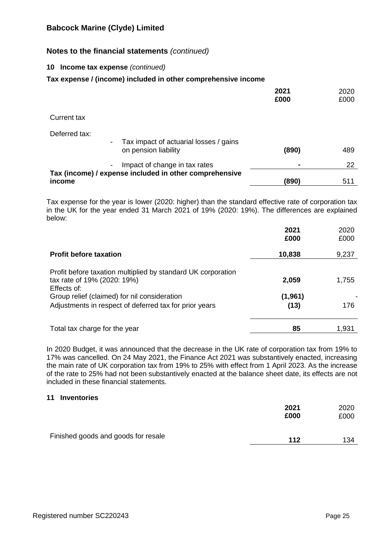# **Notes to the financial statements** *(continued)*

## **10 Income tax expense** *(continued)*

## **Tax expense / (income) included in other comprehensive income**

|                                                                                                             | 2021<br>£000 | 2020<br>£000 |
|-------------------------------------------------------------------------------------------------------------|--------------|--------------|
| Current tax                                                                                                 |              |              |
| Deferred tax:<br>Tax impact of actuarial losses / gains<br>$\overline{\phantom{a}}$<br>on pension liability | (890)        | 489          |
| Impact of change in tax rates<br>$\blacksquare$                                                             |              | 22           |
| Tax (income) / expense included in other comprehensive<br>income                                            | (890)        | 511          |

Tax expense for the year is lower (2020: higher) than the standard effective rate of corporation tax in the UK for the year ended 31 March 2021 of 19% (2020: 19%). The differences are explained below:

|                                                                                                            | 2021<br>£000     | 2020<br>£000 |
|------------------------------------------------------------------------------------------------------------|------------------|--------------|
| <b>Profit before taxation</b>                                                                              | 10,838           | 9,237        |
| Profit before taxation multiplied by standard UK corporation<br>tax rate of 19% (2020: 19%)<br>Effects of: | 2,059            | 1,755        |
| Group relief (claimed) for nil consideration<br>Adjustments in respect of deferred tax for prior years     | (1, 961)<br>(13) | 176          |
| Total tax charge for the year                                                                              | 85               | 1,931        |

In 2020 Budget, it was announced that the decrease in the UK rate of corporation tax from 19% to 17% was cancelled. On 24 May 2021, the Finance Act 2021 was substantively enacted, increasing the main rate of UK corporation tax from 19% to 25% with effect from 1 April 2023. As the increase of the rate to 25% had not been substantively enacted at the balance sheet date, its effects are not included in these financial statements.

#### **11 Inventories**

|                                     | 2021 | 2020 |
|-------------------------------------|------|------|
|                                     | £000 | £000 |
| Finished goods and goods for resale | 112  | 134  |
|                                     |      |      |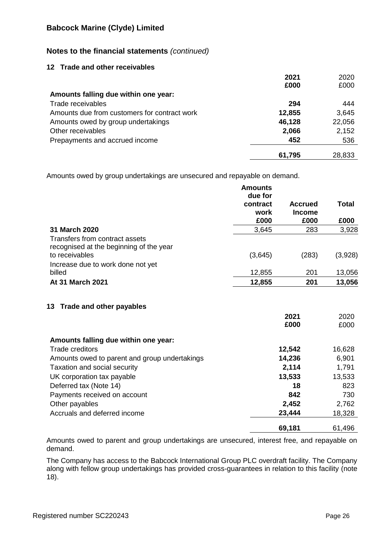# **Notes to the financial statements** *(continued)*

## **12 Trade and other receivables**

|                                              | 2021   | 2020   |
|----------------------------------------------|--------|--------|
|                                              | £000   | £000   |
| Amounts falling due within one year:         |        |        |
| Trade receivables                            | 294    | 444    |
| Amounts due from customers for contract work | 12,855 | 3,645  |
| Amounts owed by group undertakings           | 46,128 | 22,056 |
| Other receivables                            | 2,066  | 2,152  |
| Prepayments and accrued income               | 452    | 536    |
|                                              | 61,795 | 28,833 |

Amounts owed by group undertakings are unsecured and repayable on demand.

|                                                           | <b>Amounts</b><br>due for<br>contract<br>work | <b>Accrued</b><br><b>Income</b> | <b>Total</b> |
|-----------------------------------------------------------|-----------------------------------------------|---------------------------------|--------------|
|                                                           | £000                                          | £000                            | £000         |
| 31 March 2020                                             | 3,645                                         | 283                             | 3,928        |
| Transfers from contract assets                            |                                               |                                 |              |
| recognised at the beginning of the year<br>to receivables | (3,645)                                       | (283)                           | (3,928)      |
| Increase due to work done not yet                         |                                               |                                 |              |
| billed                                                    | 12,855                                        | 201                             | 13,056       |
| At 31 March 2021                                          | 12,855                                        | 201                             | 13,056       |
|                                                           |                                               | 2021<br>£000                    | 2020<br>£000 |
| Amounts falling due within one year:                      |                                               |                                 |              |
| Trade creditors                                           |                                               | 12,542                          | 16,628       |
| Amounts owed to parent and group undertakings             |                                               | 14,236                          | 6,901        |
| Taxation and social security                              |                                               | 2,114                           | 1,791        |
| UK corporation tax payable                                |                                               | 13,533                          | 13,533       |
| Deferred tax (Note 14)                                    |                                               | 18                              | 823          |
| Payments received on account                              |                                               | 842                             | 730          |
| Other payables                                            |                                               | 2,452                           | 2,762        |
| Accruals and deferred income                              |                                               | 23,444                          | 18,328       |
|                                                           |                                               | 69,181                          | 61,496       |

Amounts owed to parent and group undertakings are unsecured, interest free, and repayable on demand.

The Company has access to the Babcock International Group PLC overdraft facility. The Company along with fellow group undertakings has provided cross-guarantees in relation to this facility (note 18).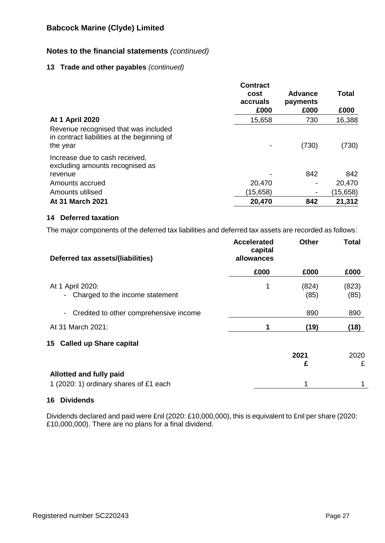# **Notes to the financial statements** *(continued)*

## **13 Trade and other payables** *(continued)*

|                                                                                                 | <b>Contract</b><br>cost<br>accruals<br>£000 | <b>Advance</b><br>payments<br>£000 | Total<br>£000 |
|-------------------------------------------------------------------------------------------------|---------------------------------------------|------------------------------------|---------------|
| <b>At 1 April 2020</b>                                                                          | 15,658                                      | 730                                | 16,388        |
| Revenue recognised that was included<br>in contract liabilities at the beginning of<br>the year |                                             | (730)                              | (730)         |
| Increase due to cash received,<br>excluding amounts recognised as                               |                                             |                                    |               |
| revenue                                                                                         |                                             | 842                                | 842           |
| Amounts accrued                                                                                 | 20,470                                      | ٠                                  | 20,470        |
| Amounts utilised                                                                                | (15,658)                                    | $\overline{\phantom{a}}$           | (15, 658)     |
| <b>At 31 March 2021</b>                                                                         | 20,470                                      | 842                                | 21,312        |

## **14 Deferred taxation**

The major components of the deferred tax liabilities and deferred tax assets are recorded as follows:

| Deferred tax assets/(liabilities)                        | <b>Accelerated</b><br>capital<br>allowances | <b>Other</b> | <b>Total</b> |
|----------------------------------------------------------|---------------------------------------------|--------------|--------------|
|                                                          | £000                                        | £000         | £000         |
| At 1 April 2020:                                         | 1                                           | (824)        | (823)        |
| Charged to the income statement                          |                                             | (85)         | (85)         |
| Credited to other comprehensive income<br>$\blacksquare$ |                                             | 890          | 890          |
| At 31 March 2021:                                        |                                             | (19)         | (18)         |
| 15 Called up Share capital                               |                                             |              |              |
|                                                          |                                             | 2021         | 2020         |
|                                                          |                                             | £            | £            |
| <b>Allotted and fully paid</b>                           |                                             |              |              |
| 1 (2020: 1) ordinary shares of £1 each                   |                                             | 1            |              |

## **16 Dividends**

Dividends declared and paid were £nil (2020: £10,000,000), this is equivalent to £nil per share (2020: £10,000,000). There are no plans for a final dividend.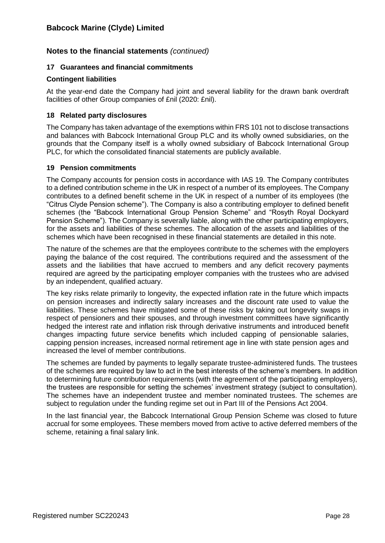## **17 Guarantees and financial commitments**

## **Contingent liabilities**

At the year-end date the Company had joint and several liability for the drawn bank overdraft facilities of other Group companies of £nil (2020: £nil).

## **18 Related party disclosures**

The Company has taken advantage of the exemptions within FRS 101 not to disclose transactions and balances with Babcock International Group PLC and its wholly owned subsidiaries, on the grounds that the Company itself is a wholly owned subsidiary of Babcock International Group PLC, for which the consolidated financial statements are publicly available.

## **19 Pension commitments**

The Company accounts for pension costs in accordance with IAS 19. The Company contributes to a defined contribution scheme in the UK in respect of a number of its employees. The Company contributes to a defined benefit scheme in the UK in respect of a number of its employees (the "Citrus Clyde Pension scheme"). The Company is also a contributing employer to defined benefit schemes (the "Babcock International Group Pension Scheme" and "Rosyth Royal Dockyard Pension Scheme"). The Company is severally liable, along with the other participating employers, for the assets and liabilities of these schemes. The allocation of the assets and liabilities of the schemes which have been recognised in these financial statements are detailed in this note.

The nature of the schemes are that the employees contribute to the schemes with the employers paying the balance of the cost required. The contributions required and the assessment of the assets and the liabilities that have accrued to members and any deficit recovery payments required are agreed by the participating employer companies with the trustees who are advised by an independent, qualified actuary.

The key risks relate primarily to longevity, the expected inflation rate in the future which impacts on pension increases and indirectly salary increases and the discount rate used to value the liabilities. These schemes have mitigated some of these risks by taking out longevity swaps in respect of pensioners and their spouses, and through investment committees have significantly hedged the interest rate and inflation risk through derivative instruments and introduced benefit changes impacting future service benefits which included capping of pensionable salaries, capping pension increases, increased normal retirement age in line with state pension ages and increased the level of member contributions.

The schemes are funded by payments to legally separate trustee-administered funds. The trustees of the schemes are required by law to act in the best interests of the scheme's members. In addition to determining future contribution requirements (with the agreement of the participating employers), the trustees are responsible for setting the schemes' investment strategy (subject to consultation). The schemes have an independent trustee and member nominated trustees. The schemes are subject to regulation under the funding regime set out in Part III of the Pensions Act 2004.

In the last financial year, the Babcock International Group Pension Scheme was closed to future accrual for some employees. These members moved from active to active deferred members of the scheme, retaining a final salary link.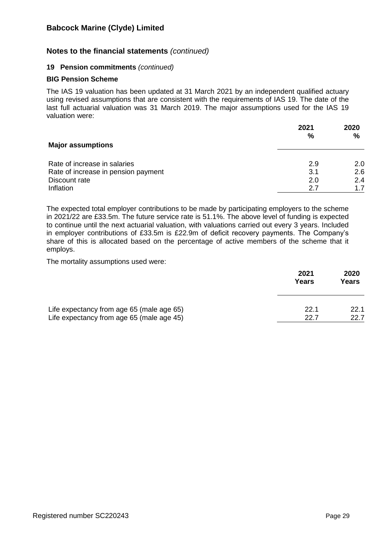## **Notes to the financial statements** *(continued)*

#### **19 Pension commitments** *(continued)*

#### **BIG Pension Scheme**

The IAS 19 valuation has been updated at 31 March 2021 by an independent qualified actuary using revised assumptions that are consistent with the requirements of IAS 19. The date of the last full actuarial valuation was 31 March 2019. The major assumptions used for the IAS 19 valuation were:

|                                     | 2021 | 2020          |
|-------------------------------------|------|---------------|
| <b>Major assumptions</b>            | $\%$ | $\frac{0}{0}$ |
| Rate of increase in salaries        | 2.9  | 2.0           |
| Rate of increase in pension payment | 3.1  | 2.6           |
| Discount rate                       | 2.0  | 2.4           |
| Inflation                           | 2.7  | 1.7           |

The expected total employer contributions to be made by participating employers to the scheme in 2021/22 are £33.5m. The future service rate is 51.1%. The above level of funding is expected to continue until the next actuarial valuation, with valuations carried out every 3 years. Included in employer contributions of £33.5m is £22.9m of deficit recovery payments. The Company's share of this is allocated based on the percentage of active members of the scheme that it employs.

The mortality assumptions used were:

|                                           | 2021<br>Years | 2020<br>Years |
|-------------------------------------------|---------------|---------------|
| Life expectancy from age 65 (male age 65) | 22.1          | 22.1          |
| Life expectancy from age 65 (male age 45) | 22.7          | 22.7          |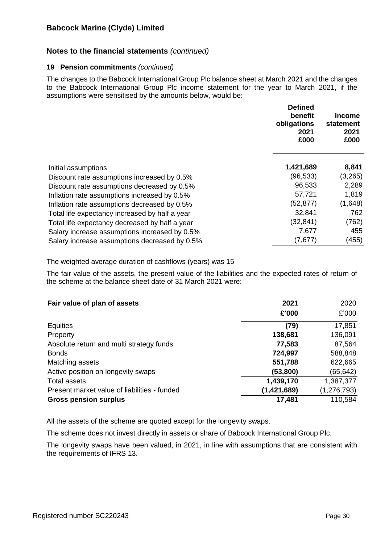## **Notes to the financial statements** *(continued)*

#### **19 Pension commitments** *(continued)*

The changes to the Babcock International Group Plc balance sheet at March 2021 and the changes to the Babcock International Group Plc income statement for the year to March 2021, if the assumptions were sensitised by the amounts below, would be:

|                                                | <b>Defined</b><br>benefit<br>obligations<br>2021<br>£000 | <b>Income</b><br>statement<br>2021<br>£000 |
|------------------------------------------------|----------------------------------------------------------|--------------------------------------------|
| Initial assumptions                            | 1,421,689                                                | 8,841                                      |
| Discount rate assumptions increased by 0.5%    | (96,533)                                                 | (3,265)                                    |
| Discount rate assumptions decreased by 0.5%    | 96,533                                                   | 2,289                                      |
| Inflation rate assumptions increased by 0.5%   | 57,721                                                   | 1,819                                      |
| Inflation rate assumptions decreased by 0.5%   | (52, 877)                                                | (1,648)                                    |
| Total life expectancy increased by half a year | 32,841                                                   | 762                                        |
| Total life expectancy decreased by half a year | (32,841)                                                 | (762)                                      |
| Salary increase assumptions increased by 0.5%  | 7,677                                                    | 455                                        |
| Salary increase assumptions decreased by 0.5%  | (7,677)                                                  | (455)                                      |

The weighted average duration of cashflows (years) was 15

The fair value of the assets, the present value of the liabilities and the expected rates of return of the scheme at the balance sheet date of 31 March 2021 were:

| Fair value of plan of assets                 | 2021        | 2020          |
|----------------------------------------------|-------------|---------------|
|                                              | £'000       | £'000         |
| Equities                                     | (79)        | 17,851        |
| Property                                     | 138,681     | 136,091       |
| Absolute return and multi strategy funds     | 77,583      | 87,564        |
| <b>Bonds</b>                                 | 724,997     | 588,848       |
| Matching assets                              | 551,788     | 622,665       |
| Active position on longevity swaps           | (53,800)    | (65, 642)     |
| <b>Total assets</b>                          | 1,439,170   | 1,387,377     |
| Present market value of liabilities - funded | (1,421,689) | (1, 276, 793) |
| <b>Gross pension surplus</b>                 | 17,481      | 110,584       |

All the assets of the scheme are quoted except for the longevity swaps.

The scheme does not invest directly in assets or share of Babcock International Group Plc.

The longevity swaps have been valued, in 2021, in line with assumptions that are consistent with the requirements of IFRS 13.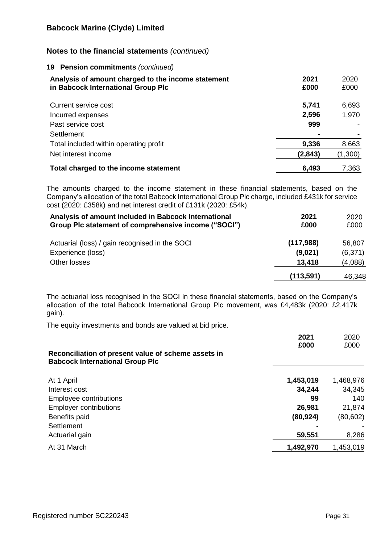## **Notes to the financial statements** *(continued)*

### **19 Pension commitments** *(continued)*

| Analysis of amount charged to the income statement<br>in Babcock International Group Plc | 2021<br>£000   | 2020<br>£000 |
|------------------------------------------------------------------------------------------|----------------|--------------|
| Current service cost                                                                     | 5,741          | 6,693        |
| Incurred expenses                                                                        | 2,596          | 1,970        |
| Past service cost                                                                        | 999            |              |
| Settlement                                                                               | $\blacksquare$ |              |
| Total included within operating profit                                                   | 9,336          | 8,663        |
| Net interest income                                                                      | (2,843)        | (1,300)      |
| Total charged to the income statement                                                    | 6,493          | 7,363        |

The amounts charged to the income statement in these financial statements, based on the Company's allocation of the total Babcock International Group Plc charge, included £431k for service cost (2020: £358k) and net interest credit of £131k (2020: £54k).

| Analysis of amount included in Babcock International<br>Group Plc statement of comprehensive income ("SOCI") | 2021<br>£000 | 2020<br>£000 |
|--------------------------------------------------------------------------------------------------------------|--------------|--------------|
| Actuarial (loss) / gain recognised in the SOCI                                                               | (117,988)    | 56,807       |
| Experience (loss)                                                                                            | (9,021)      | (6,371)      |
| Other losses                                                                                                 | 13,418       | (4,088)      |
|                                                                                                              | (113, 591)   | 46,348       |

The actuarial loss recognised in the SOCI in these financial statements, based on the Company's allocation of the total Babcock International Group Plc movement, was £4,483k (2020: £2,417k gain).

The equity investments and bonds are valued at bid price.

|                                                                                               | 2021      | 2020      |
|-----------------------------------------------------------------------------------------------|-----------|-----------|
| Reconciliation of present value of scheme assets in<br><b>Babcock International Group Plc</b> | £000      | £000      |
| At 1 April                                                                                    | 1,453,019 | 1,468,976 |
| Interest cost                                                                                 | 34,244    | 34,345    |
| Employee contributions                                                                        | 99        | 140       |
| <b>Employer contributions</b>                                                                 | 26,981    | 21,874    |
| Benefits paid                                                                                 | (80, 924) | (80,602)  |
| Settlement                                                                                    |           |           |
| Actuarial gain                                                                                | 59,551    | 8,286     |
| At 31 March                                                                                   | 1,492,970 | 1,453,019 |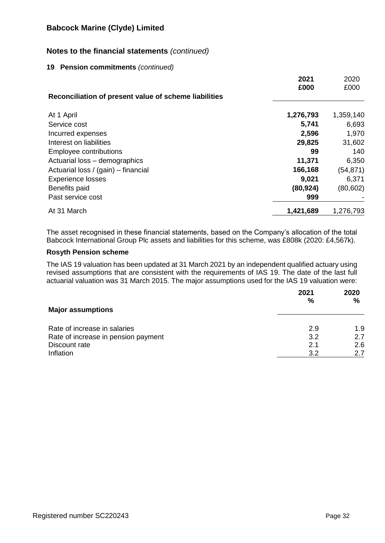## **Notes to the financial statements** *(continued)*

### **19 Pension commitments** *(continued)*

|                                                       | 2021      | 2020      |
|-------------------------------------------------------|-----------|-----------|
|                                                       | £000      | £000      |
| Reconciliation of present value of scheme liabilities |           |           |
| At 1 April                                            | 1,276,793 | 1,359,140 |
| Service cost                                          | 5,741     | 6,693     |
| Incurred expenses                                     | 2,596     | 1,970     |
| Interest on liabilities                               | 29,825    | 31,602    |
| Employee contributions                                | 99        | 140       |
| Actuarial loss - demographics                         | 11,371    | 6,350     |
| Actuarial loss / (gain) – financial                   | 166,168   | (54, 871) |
| <b>Experience losses</b>                              | 9,021     | 6,371     |
| Benefits paid                                         | (80, 924) | (80, 602) |
| Past service cost                                     | 999       |           |
| At 31 March                                           | 1,421,689 | 1,276,793 |

The asset recognised in these financial statements, based on the Company's allocation of the total Babcock International Group Plc assets and liabilities for this scheme, was £808k (2020: £4,567k).

## **Rosyth Pension scheme**

The IAS 19 valuation has been updated at 31 March 2021 by an independent qualified actuary using revised assumptions that are consistent with the requirements of IAS 19. The date of the last full actuarial valuation was 31 March 2015. The major assumptions used for the IAS 19 valuation were:

|                                     | 2021<br>% | 2020<br>% |
|-------------------------------------|-----------|-----------|
| <b>Major assumptions</b>            |           |           |
| Rate of increase in salaries        | 2.9       | 1.9       |
| Rate of increase in pension payment | 3.2       | 2.7       |
| Discount rate                       | 2.1       | 2.6       |
| Inflation                           | 3.2       | 2.7       |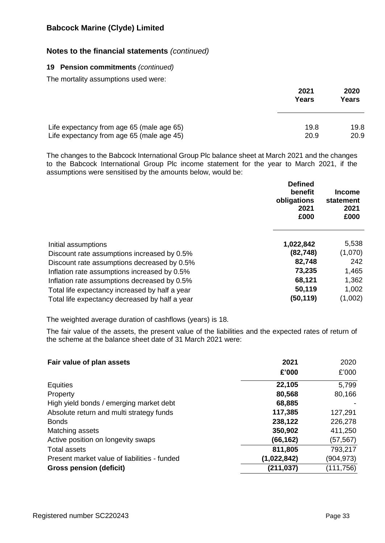# **Notes to the financial statements** *(continued)*

### **19 Pension commitments** *(continued)*

The mortality assumptions used were:

|                                           | 2021<br>Years | 2020<br>Years |
|-------------------------------------------|---------------|---------------|
| Life expectancy from age 65 (male age 65) | 19.8          | 19.8          |
| Life expectancy from age 65 (male age 45) | 20.9          | 20.9          |

The changes to the Babcock International Group Plc balance sheet at March 2021 and the changes to the Babcock International Group Plc income statement for the year to March 2021, if the assumptions were sensitised by the amounts below, would be:

|                                                | <b>Defined</b><br>benefit<br>obligations<br>2021<br>£000 | <b>Income</b><br>statement<br>2021<br>£000 |
|------------------------------------------------|----------------------------------------------------------|--------------------------------------------|
| Initial assumptions                            | 1,022,842                                                | 5,538                                      |
| Discount rate assumptions increased by 0.5%    | (82, 748)                                                | (1,070)                                    |
| Discount rate assumptions decreased by 0.5%    | 82,748                                                   | 242                                        |
| Inflation rate assumptions increased by 0.5%   | 73,235                                                   | 1,465                                      |
| Inflation rate assumptions decreased by 0.5%   | 68,121                                                   | 1,362                                      |
| Total life expectancy increased by half a year | 50,119                                                   | 1,002                                      |
| Total life expectancy decreased by half a year | (50,119)                                                 | (1,002)                                    |

The weighted average duration of cashflows (years) is 18.

The fair value of the assets, the present value of the liabilities and the expected rates of return of the scheme at the balance sheet date of 31 March 2021 were:

| Fair value of plan assets                    | 2021        | 2020       |
|----------------------------------------------|-------------|------------|
|                                              | £'000       | £'000      |
| <b>Equities</b>                              | 22,105      | 5,799      |
| Property                                     | 80,568      | 80,166     |
| High yield bonds / emerging market debt      | 68,885      |            |
| Absolute return and multi strategy funds     | 117,385     | 127,291    |
| <b>Bonds</b>                                 | 238,122     | 226,278    |
| Matching assets                              | 350,902     | 411,250    |
| Active position on longevity swaps           | (66, 162)   | (57, 567)  |
| Total assets                                 | 811,805     | 793,217    |
| Present market value of liabilities - funded | (1,022,842) | (904,973)  |
| <b>Gross pension (deficit)</b>               | (211, 037)  | (111, 756) |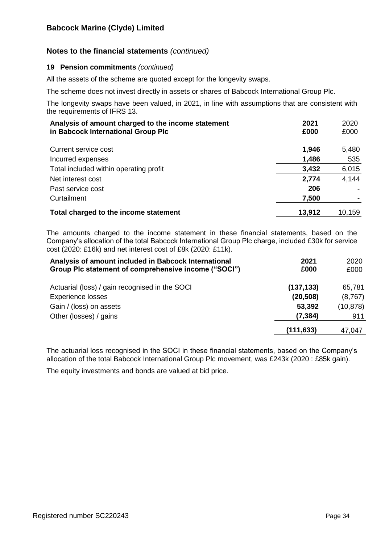# **Notes to the financial statements** *(continued)*

## **19 Pension commitments** *(continued)*

All the assets of the scheme are quoted except for the longevity swaps.

The scheme does not invest directly in assets or shares of Babcock International Group Plc.

The longevity swaps have been valued, in 2021, in line with assumptions that are consistent with the requirements of IFRS 13.

| Analysis of amount charged to the income statement<br>in Babcock International Group Plc | 2021<br>£000 | 2020<br>£000 |
|------------------------------------------------------------------------------------------|--------------|--------------|
| Current service cost                                                                     | 1,946        | 5,480        |
| Incurred expenses                                                                        | 1,486        | 535          |
| Total included within operating profit                                                   | 3,432        | 6,015        |
| Net interest cost                                                                        | 2,774        | 4,144        |
| Past service cost                                                                        | 206          |              |
| Curtailment                                                                              | 7,500        |              |
| Total charged to the income statement                                                    | 13,912       | 10,159       |

The amounts charged to the income statement in these financial statements, based on the Company's allocation of the total Babcock International Group Plc charge, included £30k for service cost (2020: £16k) and net interest cost of £8k (2020: £11k).

| Analysis of amount included in Babcock International<br>Group Plc statement of comprehensive income ("SOCI") | 2021<br>£000 | 2020<br>£000 |
|--------------------------------------------------------------------------------------------------------------|--------------|--------------|
| Actuarial (loss) / gain recognised in the SOCI                                                               | (137, 133)   | 65,781       |
| <b>Experience losses</b>                                                                                     | (20, 508)    | (8,767)      |
| Gain / (loss) on assets                                                                                      | 53,392       | (10, 878)    |
| Other (losses) / gains                                                                                       | (7, 384)     | 911          |
|                                                                                                              | (111, 633)   | 47,047       |

The actuarial loss recognised in the SOCI in these financial statements, based on the Company's allocation of the total Babcock International Group Plc movement, was £243k (2020 : £85k gain).

The equity investments and bonds are valued at bid price.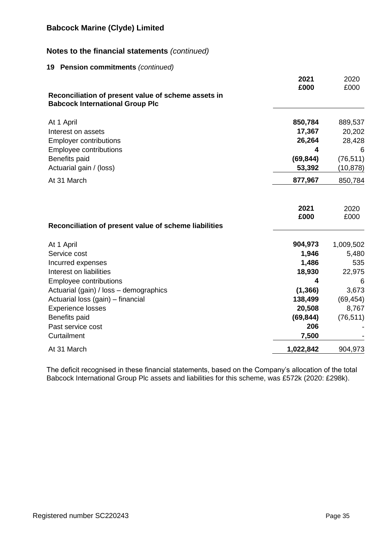# **Notes to the financial statements** *(continued)*

### **19 Pension commitments** *(continued)*

|                                                                                               | 2021<br>£000 | 2020<br>£000 |
|-----------------------------------------------------------------------------------------------|--------------|--------------|
| Reconciliation of present value of scheme assets in<br><b>Babcock International Group Plc</b> |              |              |
| At 1 April                                                                                    | 850,784      | 889,537      |
| Interest on assets                                                                            | 17,367       | 20,202       |
| <b>Employer contributions</b>                                                                 | 26,264       | 28,428       |
| Employee contributions                                                                        | 4            | 6            |
| Benefits paid                                                                                 | (69, 844)    | (76, 511)    |
| Actuarial gain / (loss)                                                                       | 53,392       | (10, 878)    |
| At 31 March                                                                                   | 877,967      | 850,784      |
|                                                                                               | 2021<br>£000 | 2020<br>£000 |
| Reconciliation of present value of scheme liabilities                                         |              |              |
| At 1 April                                                                                    | 904,973      | 1,009,502    |
| Service cost                                                                                  | 1,946        | 5,480        |
| Incurred expenses                                                                             | 1,486        | 535          |
| Interest on liabilities                                                                       | 18,930       | 22,975       |
| <b>Employee contributions</b>                                                                 | 4            | 6            |
| Actuarial (gain) / loss - demographics                                                        | (1, 366)     | 3,673        |
| Actuarial loss (gain) - financial                                                             | 138,499      | (69, 454)    |
| <b>Experience losses</b>                                                                      | 20,508       | 8,767        |
| Benefits paid                                                                                 | (69, 844)    | (76, 511)    |
| Past service cost                                                                             | 206          |              |
| Curtailment                                                                                   | 7,500        |              |
| At 31 March                                                                                   | 1,022,842    | 904,973      |

The deficit recognised in these financial statements, based on the Company's allocation of the total Babcock International Group Plc assets and liabilities for this scheme, was £572k (2020: £298k).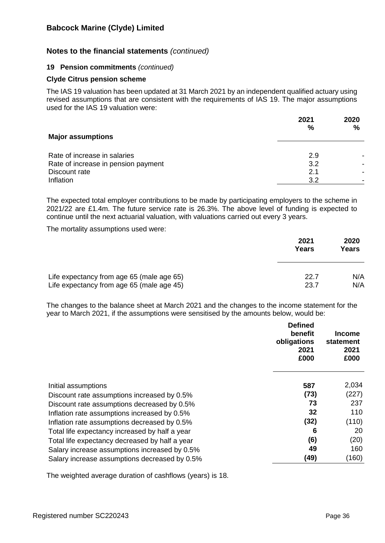## **Notes to the financial statements** *(continued)*

#### **19 Pension commitments** *(continued)*

#### **Clyde Citrus pension scheme**

The IAS 19 valuation has been updated at 31 March 2021 by an independent qualified actuary using revised assumptions that are consistent with the requirements of IAS 19. The major assumptions used for the IAS 19 valuation were:

|                                     | 2021<br>% | 2020<br>$\frac{0}{0}$ |
|-------------------------------------|-----------|-----------------------|
| <b>Major assumptions</b>            |           |                       |
| Rate of increase in salaries        | 2.9       |                       |
| Rate of increase in pension payment | 3.2       |                       |
| Discount rate                       | 2.1       |                       |
| Inflation                           | 3.2       |                       |

The expected total employer contributions to be made by participating employers to the scheme in 2021/22 are £1.4m. The future service rate is 26.3%. The above level of funding is expected to continue until the next actuarial valuation, with valuations carried out every 3 years.

The mortality assumptions used were:

|                                           | 2021<br>Years | 2020<br>Years |
|-------------------------------------------|---------------|---------------|
| Life expectancy from age 65 (male age 65) | 22.7          | N/A           |
| Life expectancy from age 65 (male age 45) | 23.7          | N/A           |

The changes to the balance sheet at March 2021 and the changes to the income statement for the year to March 2021, if the assumptions were sensitised by the amounts below, would be:

|                                                | <b>Defined</b><br>benefit<br>obligations<br>2021<br>£000 | Income<br>statement<br>2021<br>£000 |
|------------------------------------------------|----------------------------------------------------------|-------------------------------------|
| Initial assumptions                            | 587                                                      | 2,034                               |
| Discount rate assumptions increased by 0.5%    | (73)                                                     | (227)                               |
| Discount rate assumptions decreased by 0.5%    | 73                                                       | 237                                 |
| Inflation rate assumptions increased by 0.5%   | 32                                                       | 110                                 |
| Inflation rate assumptions decreased by 0.5%   | (32)                                                     | (110)                               |
| Total life expectancy increased by half a year | 6                                                        | 20                                  |
| Total life expectancy decreased by half a year | (6)                                                      | (20)                                |
| Salary increase assumptions increased by 0.5%  | 49                                                       | 160                                 |
| Salary increase assumptions decreased by 0.5%  | (49)                                                     | (160)                               |

The weighted average duration of cashflows (years) is 18.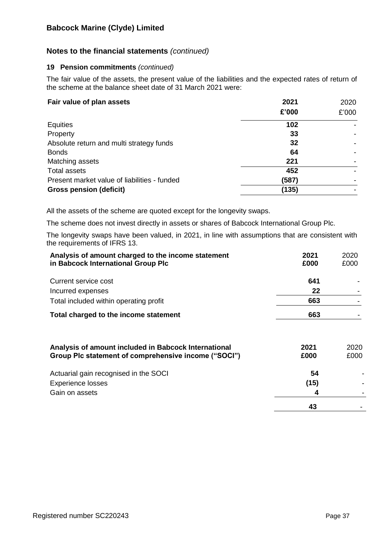# **Notes to the financial statements** *(continued)*

## **19 Pension commitments** *(continued)*

The fair value of the assets, the present value of the liabilities and the expected rates of return of the scheme at the balance sheet date of 31 March 2021 were:

| Fair value of plan assets                    | 2021<br>£'000 | 2020<br>£'000 |
|----------------------------------------------|---------------|---------------|
| <b>Equities</b>                              | 102           |               |
| Property                                     | 33            |               |
| Absolute return and multi strategy funds     | 32            |               |
| <b>Bonds</b>                                 | 64            |               |
| Matching assets                              | 221           |               |
| <b>Total assets</b>                          | 452           |               |
| Present market value of liabilities - funded | (587)         |               |
| <b>Gross pension (deficit)</b>               | (135)         |               |

All the assets of the scheme are quoted except for the longevity swaps.

The scheme does not invest directly in assets or shares of Babcock International Group Plc.

The longevity swaps have been valued, in 2021, in line with assumptions that are consistent with the requirements of IFRS 13.

| Analysis of amount charged to the income statement<br>in Babcock International Group Plc | 2021<br>£000 | 2020<br>£000 |
|------------------------------------------------------------------------------------------|--------------|--------------|
| Current service cost                                                                     | 641          |              |
| Incurred expenses                                                                        | 22           |              |
| Total included within operating profit                                                   | 663          |              |
| Total charged to the income statement                                                    | 663          |              |
| Analysis of amount included in Babcock International                                     | 2021         | 2020         |
| Group Plc statement of comprehensive income ("SOCI")                                     | £000         | £000         |
| Actuarial gain recognised in the SOCI                                                    | 54           |              |
| <b>Experience losses</b>                                                                 | (15)         |              |
| Gain on assets                                                                           | 4            |              |
|                                                                                          | 43           |              |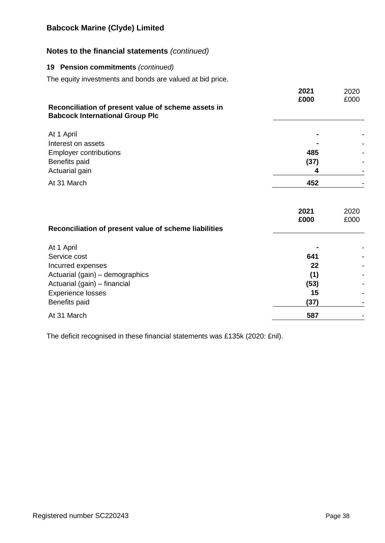# **Notes to the financial statements** *(continued)*

### **19 Pension commitments** *(continued)*

The equity investments and bonds are valued at bid price.

|                                                                                               | 2021<br>£000 | 2020<br>£000 |
|-----------------------------------------------------------------------------------------------|--------------|--------------|
| Reconciliation of present value of scheme assets in<br><b>Babcock International Group Plc</b> |              |              |
| At 1 April<br>Interest on assets                                                              |              |              |
| <b>Employer contributions</b>                                                                 | 485          |              |
| Benefits paid                                                                                 | (37)         |              |
| Actuarial gain                                                                                | 4            |              |
| At 31 March                                                                                   | 452          |              |
| Reconciliation of present value of scheme liabilities                                         | 2021<br>£000 | 2020<br>£000 |
| At 1 April                                                                                    |              |              |
| Service cost                                                                                  | 641          |              |
| Incurred expenses                                                                             | 22           |              |
| Actuarial (gain) - demographics                                                               | (1)          |              |
| Actuarial (gain) - financial                                                                  | (53)         |              |
| <b>Experience losses</b>                                                                      | 15           |              |
| Benefits paid                                                                                 | (37)         |              |
| At 31 March                                                                                   | 587          | -            |

The deficit recognised in these financial statements was £135k (2020: £nil).